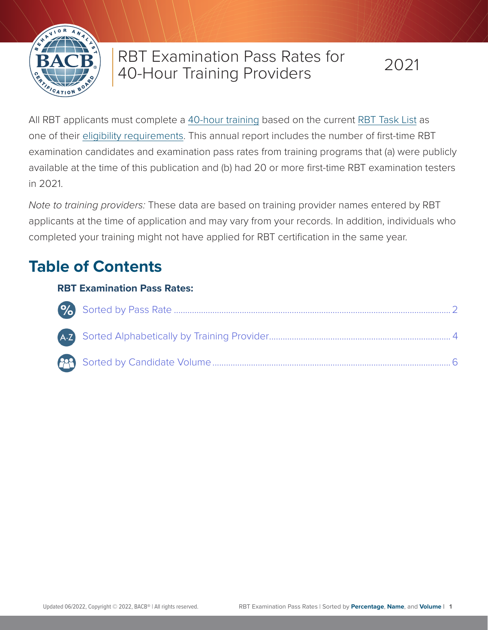

# RBT Examination Pass Rates for 40-Hour Training Providers

All RBT applicants must complete a [40-hour training](https://www.bacb.com/wp-content/RBT-40-hr-Training-Packet) based on the current [RBT Task List](https://www.bacb.com/rbt-task-list/) as one of their [eligibility requirements](https://www.bacb.com/rbt-handbook). This annual report includes the number of first-time RBT examination candidates and examination pass rates from training programs that (a) were publicly available at the time of this publication and (b) had 20 or more first-time RBT examination testers in 2021.

*Note to training providers:* These data are based on training provider names entered by RBT applicants at the time of application and may vary from your records. In addition, individuals who completed your training might not have applied for RBT certification in the same year.

# **Table of Contents**

## **RBT Examination Pass Rates:**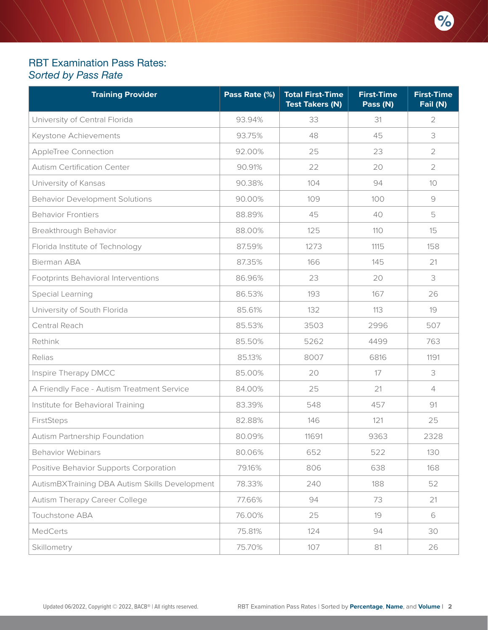### <span id="page-1-1"></span><span id="page-1-0"></span>RBT Examination Pass Rates: *Sorted by Pass Rate*

| <b>Training Provider</b>                       | Pass Rate (%) | <b>Total First-Time</b><br><b>Test Takers (N)</b> | <b>First-Time</b><br>Pass (N) | <b>First-Time</b><br>Fail (N) |
|------------------------------------------------|---------------|---------------------------------------------------|-------------------------------|-------------------------------|
| University of Central Florida                  | 93.94%        | 33                                                | 31                            | 2                             |
| Keystone Achievements                          | 93.75%        | 48                                                | 45                            | 3                             |
| AppleTree Connection                           | 92.00%        | 25                                                | 23                            | $\overline{2}$                |
| <b>Autism Certification Center</b>             | 90.91%        | 22                                                | 20                            | $\overline{2}$                |
| University of Kansas                           | 90.38%        | 104                                               | 94                            | 10                            |
| <b>Behavior Development Solutions</b>          | 90.00%        | 109                                               | 100                           | $\Theta$                      |
| <b>Behavior Frontiers</b>                      | 88.89%        | 45                                                | 40                            | 5                             |
| Breakthrough Behavior                          | 88.00%        | 125                                               | 110                           | 15                            |
| Florida Institute of Technology                | 87.59%        | 1273                                              | 1115                          | 158                           |
| <b>Bierman ABA</b>                             | 87.35%        | 166                                               | 145                           | 21                            |
| Footprints Behavioral Interventions            | 86.96%        | 23                                                | 20                            | 3                             |
| Special Learning                               | 86.53%        | 193                                               | 167                           | 26                            |
| University of South Florida                    | 85.61%        | 132                                               | 113                           | 19                            |
| Central Reach                                  | 85.53%        | 3503                                              | 2996                          | 507                           |
| Rethink                                        | 85.50%        | 5262                                              | 4499                          | 763                           |
| Relias                                         | 85.13%        | 8007                                              | 6816                          | 1191                          |
| Inspire Therapy DMCC                           | 85.00%        | 20                                                | 17                            | 3                             |
| A Friendly Face - Autism Treatment Service     | 84.00%        | 25                                                | 21                            | $\overline{4}$                |
| Institute for Behavioral Training              | 83.39%        | 548                                               | 457                           | 91                            |
| FirstSteps                                     | 82.88%        | 146                                               | 121                           | 25                            |
| Autism Partnership Foundation                  | 80.09%        | 11691                                             | 9363                          | 2328                          |
| <b>Behavior Webinars</b>                       | 80.06%        | 652                                               | 522                           | 130                           |
| Positive Behavior Supports Corporation         | 79.16%        | 806                                               | 638                           | 168                           |
| AutismBXTraining DBA Autism Skills Development | 78.33%        | 240                                               | 188                           | 52                            |
| <b>Autism Therapy Career College</b>           | 77.66%        | 94                                                | 73                            | 21                            |
| Touchstone ABA                                 | 76.00%        | 25                                                | 19                            | 6                             |
| MedCerts                                       | 75.81%        | 124                                               | 94                            | 30                            |
| Skillometry                                    | 75.70%        | 107                                               | 81                            | 26                            |

 $%$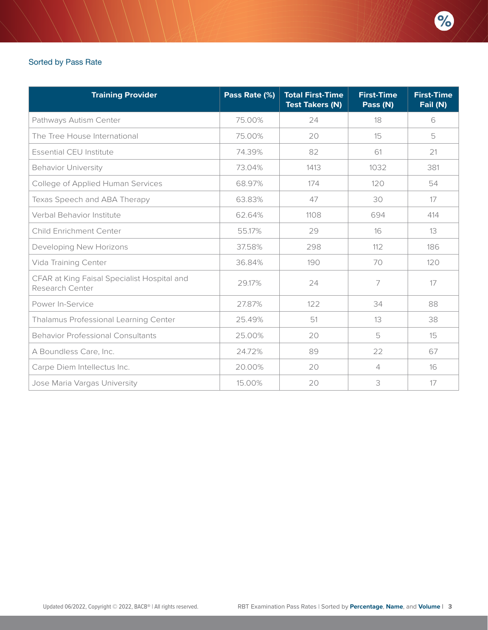#### Sorted by Pass Rate

| <b>Training Provider</b>                                       | Pass Rate (%) | <b>Total First-Time</b><br><b>Test Takers (N)</b> | <b>First-Time</b><br>Pass (N) | <b>First-Time</b><br>Fail (N) |
|----------------------------------------------------------------|---------------|---------------------------------------------------|-------------------------------|-------------------------------|
| Pathways Autism Center                                         | 75.00%        | 24                                                | 18                            | 6                             |
| The Tree House International                                   | 75.00%        | 20                                                | 15                            | 5                             |
| <b>Essential CEU Institute</b>                                 | 74.39%        | 82                                                | 61                            | 21                            |
| <b>Behavior University</b>                                     | 73.04%        | 1413                                              | 1032                          | 381                           |
| College of Applied Human Services                              | 68.97%        | 174                                               | 120                           | 54                            |
| Texas Speech and ABA Therapy                                   | 63.83%        | 47                                                | 30                            | 17                            |
| Verbal Behavior Institute                                      | 62.64%        | 1108                                              | 694                           | 414                           |
| <b>Child Enrichment Center</b>                                 | 55.17%        | 29                                                | 16                            | 13                            |
| Developing New Horizons                                        | 37.58%        | 298                                               | 112                           | 186                           |
| Vida Training Center                                           | 36.84%        | 190                                               | 70                            | 120                           |
| CFAR at King Faisal Specialist Hospital and<br>Research Center | 29.17%        | 24                                                | 7                             | 17                            |
| Power In-Service                                               | 27.87%        | 122                                               | 34                            | 88                            |
| Thalamus Professional Learning Center                          | 25.49%        | 51                                                | 13                            | 38                            |
| <b>Behavior Professional Consultants</b>                       | 25.00%        | 20                                                | 5                             | 15                            |
| A Boundless Care, Inc.                                         | 24.72%        | 89                                                | 22                            | 67                            |
| Carpe Diem Intellectus Inc.                                    | 20.00%        | 20                                                | $\overline{4}$                | 16                            |
| Jose Maria Vargas University                                   | 15.00%        | 20                                                | 3                             | 17                            |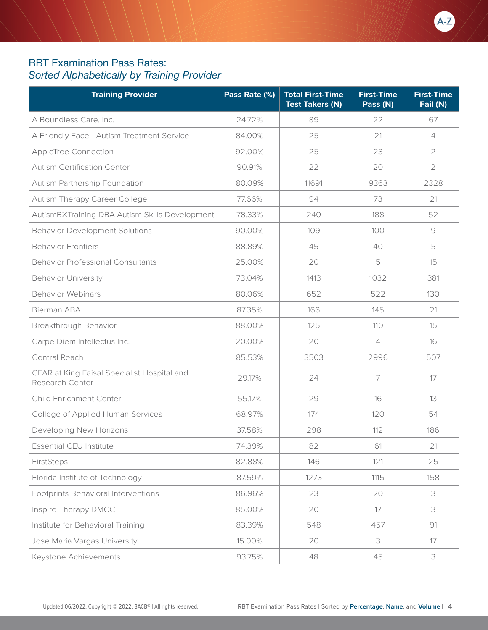## <span id="page-3-1"></span><span id="page-3-0"></span>RBT Examination Pass Rates: *Sorted Alphabetically by Training Provider*

| <b>Training Provider</b>                                       | Pass Rate (%) | <b>Total First-Time</b><br><b>Test Takers (N)</b> | <b>First-Time</b><br>Pass (N) | <b>First-Time</b><br>Fail (N) |
|----------------------------------------------------------------|---------------|---------------------------------------------------|-------------------------------|-------------------------------|
| A Boundless Care, Inc.                                         | 24.72%        | 89                                                | 22                            | 67                            |
| A Friendly Face - Autism Treatment Service                     | 84.00%        | 25                                                | 21                            | 4                             |
| AppleTree Connection                                           | 92.00%        | 25                                                | 23                            | $\overline{2}$                |
| <b>Autism Certification Center</b>                             | 90.91%        | 22                                                | 20                            | $\overline{2}$                |
| Autism Partnership Foundation                                  | 80.09%        | 11691                                             | 9363                          | 2328                          |
| Autism Therapy Career College                                  | 77.66%        | 94                                                | 73                            | 21                            |
| AutismBXTraining DBA Autism Skills Development                 | 78.33%        | 240                                               | 188                           | 52                            |
| <b>Behavior Development Solutions</b>                          | 90.00%        | 109                                               | 100                           | $\Theta$                      |
| <b>Behavior Frontiers</b>                                      | 88.89%        | 45                                                | 40                            | 5                             |
| <b>Behavior Professional Consultants</b>                       | 25.00%        | 20                                                | 5                             | 15                            |
| <b>Behavior University</b>                                     | 73.04%        | 1413                                              | 1032                          | 381                           |
| <b>Behavior Webinars</b>                                       | 80.06%        | 652                                               | 522                           | 130                           |
| Bierman ABA                                                    | 87.35%        | 166                                               | 145                           | 21                            |
| Breakthrough Behavior                                          | 88.00%        | 125                                               | 110                           | 15                            |
| Carpe Diem Intellectus Inc.                                    | 20.00%        | 20                                                | $\overline{4}$                | 16                            |
| Central Reach                                                  | 85.53%        | 3503                                              | 2996                          | 507                           |
| CFAR at King Faisal Specialist Hospital and<br>Research Center | 29.17%        | 24                                                | 7                             | 17                            |
| <b>Child Enrichment Center</b>                                 | 55.17%        | 29                                                | 16                            | 13                            |
| College of Applied Human Services                              | 68.97%        | 174                                               | 120                           | 54                            |
| Developing New Horizons                                        | 37.58%        | 298                                               | 112                           | 186                           |
| Essential CEU Institute                                        | 74.39%        | 82                                                | 61                            | 21                            |
| FirstSteps                                                     | 82.88%        | 146                                               | 121                           | 25                            |
| Florida Institute of Technology                                | 87.59%        | 1273                                              | 1115                          | 158                           |
| Footprints Behavioral Interventions                            | 86.96%        | 23                                                | 20                            | 3                             |
| Inspire Therapy DMCC                                           | 85.00%        | 20                                                | 17                            | 3                             |
| Institute for Behavioral Training                              | 83.39%        | 548                                               | 457                           | 91                            |
| Jose Maria Vargas University                                   | 15.00%        | 20                                                | 3                             | 17                            |
| Keystone Achievements                                          | 93.75%        | 48                                                | 45                            | 3                             |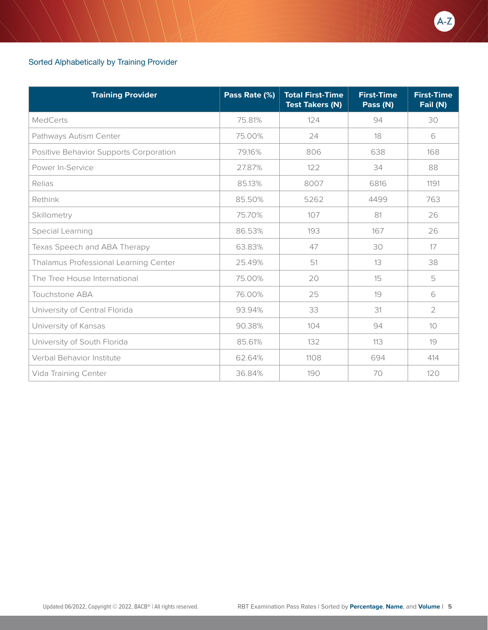#### Sorted Alphabetically by Training Provider

| <b>Training Provider</b>               | Pass Rate (%) | <b>Total First-Time</b><br><b>Test Takers (N)</b> | <b>First-Time</b><br>Pass (N) | <b>First-Time</b><br>Fail (N) |
|----------------------------------------|---------------|---------------------------------------------------|-------------------------------|-------------------------------|
| <b>MedCerts</b>                        | 75.81%        | 124                                               | 94                            | 30                            |
| Pathways Autism Center                 | 75.00%        | 24                                                | 18                            | 6                             |
| Positive Behavior Supports Corporation | 79.16%        | 806                                               | 638                           | 168                           |
| Power In-Service                       | 27.87%        | 122                                               | 34                            | 88                            |
| Relias                                 | 85.13%        | 8007                                              | 6816                          | 1191                          |
| Rethink                                | 85.50%        | 5262                                              | 4499                          | 763                           |
| Skillometry                            | 75.70%        | 107                                               | 81                            | 26                            |
| Special Learning                       | 86.53%        | 193                                               | 167                           | 26                            |
| Texas Speech and ABA Therapy           | 63.83%        | 47                                                | 30                            | 17                            |
| Thalamus Professional Learning Center  | 25.49%        | 51                                                | 13                            | 38                            |
| The Tree House International           | 75.00%        | 20                                                | 15                            | 5                             |
| <b>Touchstone ABA</b>                  | 76.00%        | 25                                                | 19                            | 6                             |
| University of Central Florida          | 93.94%        | 33                                                | 31                            | 2                             |
| University of Kansas                   | 90.38%        | 104                                               | 94                            | 10                            |
| University of South Florida            | 85.61%        | 132                                               | 113                           | 19                            |
| Verbal Behavior Institute              | 62.64%        | 1108                                              | 694                           | 414                           |
| Vida Training Center                   | 36.84%        | 190                                               | 70                            | 120                           |

AZ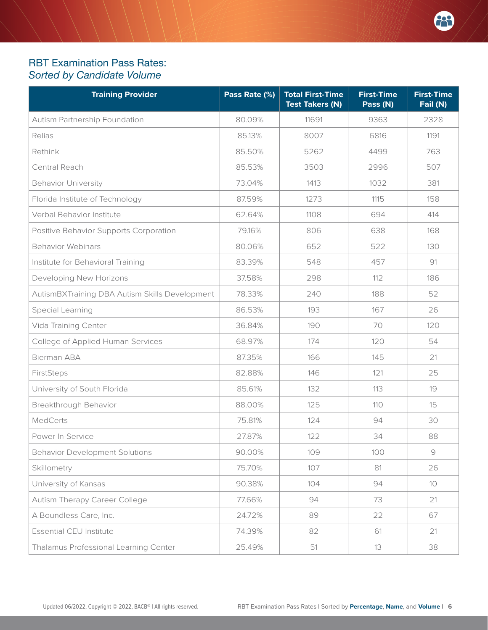### <span id="page-5-1"></span><span id="page-5-0"></span>RBT Examination Pass Rates: *Sorted by Candidate Volume*

| <b>Training Provider</b>                       | Pass Rate (%) | <b>Total First-Time</b><br><b>Test Takers (N)</b> | <b>First-Time</b><br>Pass (N) | <b>First-Time</b><br>Fail (N)                             |
|------------------------------------------------|---------------|---------------------------------------------------|-------------------------------|-----------------------------------------------------------|
| Autism Partnership Foundation                  | 80.09%        | 11691                                             | 9363                          | 2328                                                      |
| Relias                                         | 85.13%        | 8007                                              | 6816                          | 1191                                                      |
| Rethink                                        | 85.50%        | 5262                                              | 4499                          | 763                                                       |
| Central Reach                                  | 85.53%        | 3503                                              | 2996                          | 507                                                       |
| <b>Behavior University</b>                     | 73.04%        | 1413                                              | 1032                          | 381                                                       |
| Florida Institute of Technology                | 87.59%        | 1273                                              | 1115                          | 158                                                       |
| Verbal Behavior Institute                      | 62.64%        | 1108                                              | 694                           | 414                                                       |
| Positive Behavior Supports Corporation         | 79.16%        | 806                                               | 638                           | 168                                                       |
| <b>Behavior Webinars</b>                       | 80.06%        | 652                                               | 522                           | 130                                                       |
| Institute for Behavioral Training              | 83.39%        | 548                                               | 457                           | 91                                                        |
| Developing New Horizons                        | 37.58%        | 298                                               | 112                           | 186                                                       |
| AutismBXTraining DBA Autism Skills Development | 78.33%        | 240                                               | 188                           | 52                                                        |
| Special Learning                               | 86.53%        | 193                                               | 167                           | 26                                                        |
| Vida Training Center                           | 36.84%        | 190                                               | 70                            | 120                                                       |
| College of Applied Human Services              | 68.97%        | 174                                               | 120                           | 54                                                        |
| <b>Bierman ABA</b>                             | 87.35%        | 166                                               | 145                           | 21                                                        |
| FirstSteps                                     | 82.88%        | 146                                               | 121                           | 25                                                        |
| University of South Florida                    | 85.61%        | 132                                               | 113                           | 19                                                        |
| Breakthrough Behavior                          | 88.00%        | 125                                               | 110                           | 15                                                        |
| <b>MedCerts</b>                                | 75.81%        | 124                                               | 94                            | 30                                                        |
| Power In-Service                               | 27.87%        | 122                                               | 34                            | 88                                                        |
| <b>Behavior Development Solutions</b>          | 90.00%        | 109                                               | 100                           | $\mathcal{G}% _{M_{1},M_{2}}^{\alpha,\beta}(\mathcal{A})$ |
| Skillometry                                    | 75.70%        | 107                                               | 81                            | 26                                                        |
| University of Kansas                           | 90.38%        | 104                                               | 94                            | 10                                                        |
| <b>Autism Therapy Career College</b>           | 77.66%        | 94                                                | 73                            | 21                                                        |
| A Boundless Care, Inc.                         | 24.72%        | 89                                                | 22                            | 67                                                        |
| Essential CEU Institute                        | 74.39%        | 82                                                | 61                            | 21                                                        |
| Thalamus Professional Learning Center          | 25.49%        | 51                                                | 13                            | 38                                                        |